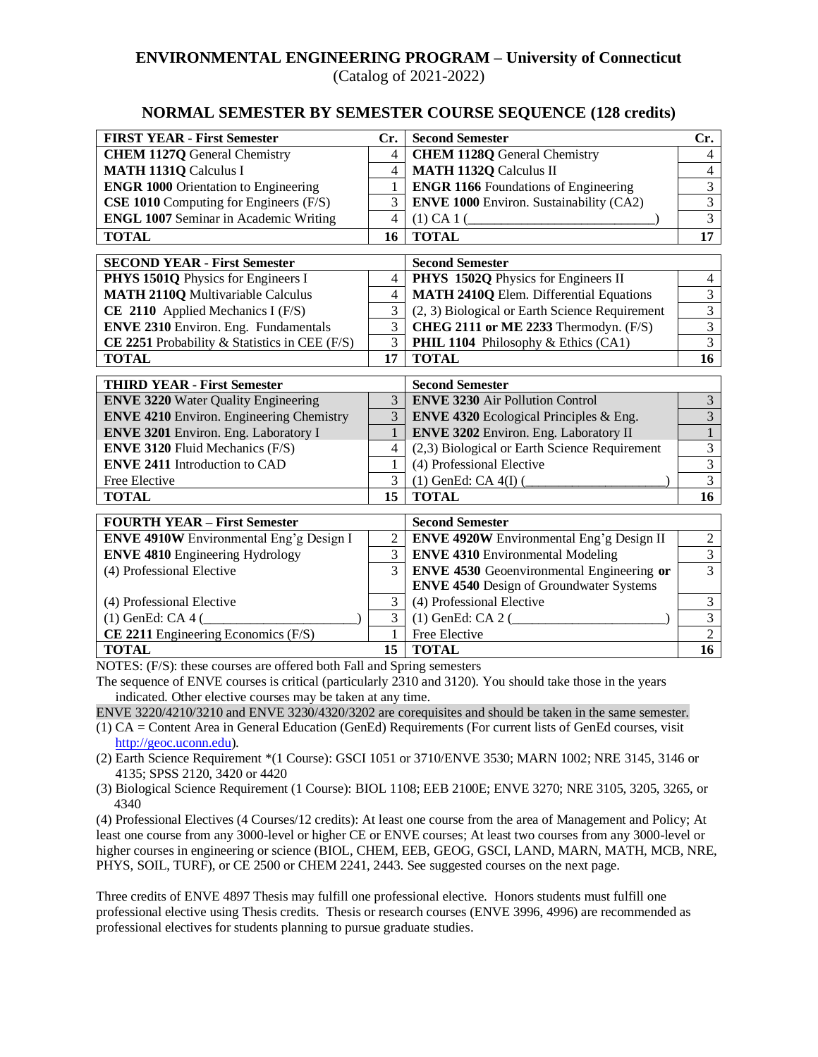# **ENVIRONMENTAL ENGINEERING PROGRAM – University of Connecticut**

(Catalog of 2021-2022)

### **NORMAL SEMESTER BY SEMESTER COURSE SEQUENCE (128 credits)**

| <b>FIRST YEAR - First Semester</b>              | Cr.            | <b>Second Semester</b>                           | Cr.             |
|-------------------------------------------------|----------------|--------------------------------------------------|-----------------|
| <b>CHEM 1127Q</b> General Chemistry             | $\overline{4}$ | <b>CHEM 1128Q</b> General Chemistry              | $\overline{4}$  |
| <b>MATH 1131Q Calculus I</b>                    | 4              | <b>MATH 1132Q Calculus II</b>                    | $\overline{4}$  |
| <b>ENGR 1000 Orientation to Engineering</b>     | 1              | <b>ENGR 1166</b> Foundations of Engineering      | $\overline{3}$  |
| CSE 1010 Computing for Engineers (F/S)          | 3              | <b>ENVE 1000 Environ. Sustainability (CA2)</b>   | $\overline{3}$  |
| <b>ENGL 1007 Seminar in Academic Writing</b>    | $\overline{4}$ | $(1)$ CA 1 $($                                   | $\overline{3}$  |
| <b>TOTAL</b>                                    | 16             | <b>TOTAL</b>                                     | 17              |
| <b>SECOND YEAR - First Semester</b>             |                | <b>Second Semester</b>                           |                 |
| PHYS 1501Q Physics for Engineers I              | $\overline{4}$ | PHYS 1502Q Physics for Engineers II              | $\overline{4}$  |
| <b>MATH 2110Q Multivariable Calculus</b>        | $\overline{4}$ | <b>MATH 2410Q Elem. Differential Equations</b>   | $\overline{3}$  |
| CE 2110 Applied Mechanics I $(F/S)$             | 3              | (2, 3) Biological or Earth Science Requirement   | $\overline{3}$  |
| <b>ENVE 2310</b> Environ. Eng. Fundamentals     | 3              | CHEG 2111 or ME 2233 Thermodyn. (F/S)            | $\overline{3}$  |
| CE 2251 Probability & Statistics in CEE (F/S)   | $\overline{3}$ | PHIL 1104 Philosophy & Ethics (CA1)              | $\overline{3}$  |
| <b>TOTAL</b>                                    | 17             | <b>TOTAL</b>                                     | 16              |
| <b>THIRD YEAR - First Semester</b>              |                | <b>Second Semester</b>                           |                 |
| <b>ENVE 3220 Water Quality Engineering</b>      | 3              | <b>ENVE 3230</b> Air Pollution Control           | 3               |
| <b>ENVE 4210</b> Environ. Engineering Chemistry | 3              | <b>ENVE 4320</b> Ecological Principles & Eng.    | $\overline{3}$  |
| ENVE 3201 Environ. Eng. Laboratory I            | $\mathbf{1}$   | <b>ENVE 3202 Environ. Eng. Laboratory II</b>     | $\overline{1}$  |
| <b>ENVE 3120 Fluid Mechanics (F/S)</b>          | 4              | (2,3) Biological or Earth Science Requirement    | $\overline{3}$  |
| <b>ENVE 2411 Introduction to CAD</b>            | 1              | (4) Professional Elective                        | $\overline{3}$  |
| Free Elective                                   | 3              | $(1)$ GenEd: CA $4(I)$ (                         | $\overline{3}$  |
| <b>TOTAL</b>                                    | 15             | <b>TOTAL</b>                                     | 16              |
| <b>FOURTH YEAR - First Semester</b>             |                | <b>Second Semester</b>                           |                 |
| ENVE 4910W Environmental Eng'g Design I         | $\overline{2}$ | <b>ENVE 4920W</b> Environmental Eng'g Design II  | $\overline{c}$  |
| <b>ENVE 4810</b> Engineering Hydrology          | $\overline{3}$ | <b>ENVE 4310 Environmental Modeling</b>          | $\overline{3}$  |
| (4) Professional Elective                       | 3              | <b>ENVE 4530</b> Geoenvironmental Engineering or | $\overline{3}$  |
|                                                 |                | <b>ENVE 4540 Design of Groundwater Systems</b>   |                 |
| (4) Professional Elective                       | 3              | (4) Professional Elective                        | 3               |
| $(1)$ GenEd: CA 4 $($                           | 3              | $(1)$ GenEd: CA 2 $($                            | $\overline{3}$  |
| CE 2211 Engineering Economics (F/S)             | 1              | Free Elective                                    | $\overline{2}$  |
| <b>TOTAL</b>                                    | 15             | <b>TOTAL</b>                                     | $\overline{16}$ |

 $S: (F/S):$  these courses are offered both Fall and Spring semes

The sequence of ENVE courses is critical (particularly 2310 and 3120). You should take those in the years indicated. Other elective courses may be taken at any time.

ENVE 3220/4210/3210 and ENVE 3230/4320/3202 are corequisites and should be taken in the same semester.

- (1) CA = Content Area in General Education (GenEd) Requirements (For current lists of GenEd courses, visit [http://geoc.uconn.edu\)](http://geoc.uconn.edu/).
- (2) Earth Science Requirement \*(1 Course): GSCI 1051 or 3710/ENVE 3530; MARN 1002; NRE 3145, 3146 or 4135; SPSS 2120, 3420 or 4420

(3) Biological Science Requirement (1 Course): BIOL 1108; EEB 2100E; ENVE 3270; NRE 3105, 3205, 3265, or 4340

(4) Professional Electives (4 Courses/12 credits): At least one course from the area of Management and Policy; At least one course from any 3000-level or higher CE or ENVE courses; At least two courses from any 3000-level or higher courses in engineering or science (BIOL, CHEM, EEB, GEOG, GSCI, LAND, MARN, MATH, MCB, NRE, PHYS, SOIL, TURF), or CE 2500 or CHEM 2241, 2443. See suggested courses on the next page.

Three credits of ENVE 4897 Thesis may fulfill one professional elective. Honors students must fulfill one professional elective using Thesis credits. Thesis or research courses (ENVE 3996, 4996) are recommended as professional electives for students planning to pursue graduate studies.